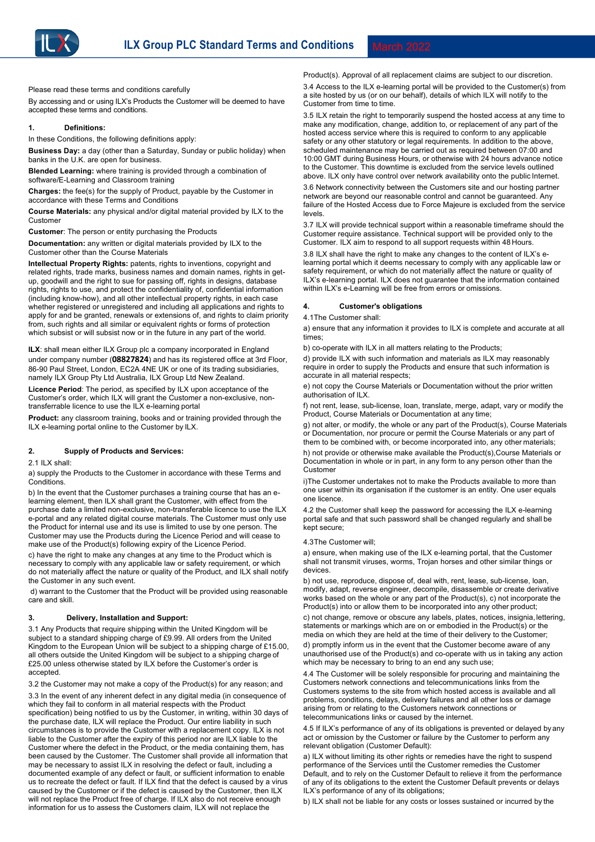

Please read these terms and conditions carefully

By accessing and or using ILX's Products the Customer will be deemed to have accepted these terms and conditions.

#### **1. Definitions:**

In these Conditions, the following definitions apply:

**Business Day:** a day (other than a Saturday, Sunday or public holiday) when banks in the U.K. are open for business.

**Blended Learning:** where training is provided through a combination of software/E-Learning and Classroom training

**Charges:** the fee(s) for the supply of Product, payable by the Customer in accordance with these Terms and Conditions

**Course Materials:** any physical and/or digital material provided by ILX to the Customer

**Customer**: The person or entity purchasing the Products

**Documentation:** any written or digital materials provided by ILX to the Customer other than the Course Materials

**Intellectual Property Rights:** patents, rights to inventions, copyright and related rights, trade marks, business names and domain names, rights in getup, goodwill and the right to sue for passing off, rights in designs, database rights, rights to use, and protect the confidentiality of, confidential information (including know-how), and all other intellectual property rights, in each case whether registered or unregistered and including all applications and rights to apply for and be granted, renewals or extensions of, and rights to claim priority from, such rights and all similar or equivalent rights or forms of protection which subsist or will subsist now or in the future in any part of the world.

**ILX**: shall mean either ILX Group plc a company incorporated in England under company number (**08827824**) and has its registered office at 3rd Floor, 86-90 Paul Street, London, EC2A 4NE UK or one of its trading subsidiaries, namely ILX Group Pty Ltd Australia, ILX Group Ltd New Zealand.

**Licence Period**: The period, as specified by ILX upon acceptance of the Customer's order, which ILX will grant the Customer a non-exclusive, nontransferrable licence to use the ILX e-learning portal

**Product:** any classroom training, books and or training provided through the ILX e-learning portal online to the Customer by ILX.

# **2. Supply of Products and Services:**

2.1 ILX shall:

a) supply the Products to the Customer in accordance with these Terms and Conditions.

b) In the event that the Customer purchases a training course that has an elearning element, then ILX shall grant the Customer, with effect from the purchase date a limited non-exclusive, non-transferable licence to use the ILX e-portal and any related digital course materials. The Customer must only use the Product for internal use and its use is limited to use by one person. The Customer may use the Products during the Licence Period and will cease to make use of the Product(s) following expiry of the Licence Period.

c) have the right to make any changes at any time to the Product which is necessary to comply with any applicable law or safety requirement, or which do not materially affect the nature or quality of the Product, and ILX shall notify the Customer in any such event.

d) warrant to the Customer that the Product will be provided using reasonable care and skill.

#### **3. Delivery, Installation and Support:**

3.1 Any Products that require shipping within the United Kingdom will be subject to a standard shipping charge of £9.99. All orders from the United Kingdom to the European Union will be subject to a shipping charge of £15.00, all others outside the United Kingdom will be subject to a shipping charge of £25.00 unless otherwise stated by ILX before the Customer's order is accepted.

3.2 the Customer may not make a copy of the Product(s) for any reason; and

3.3 In the event of any inherent defect in any digital media (in consequence of which they fail to conform in all material respects with the Product specification) being notified to us by the Customer, in writing, within 30 days of the purchase date, ILX will replace the Product. Our entire liability in such circumstances is to provide the Customer with a replacement copy. ILX is not liable to the Customer after the expiry of this period nor are ILX liable to the Customer where the defect in the Product, or the media containing them, has been caused by the Customer. The Customer shall provide all information that may be necessary to assist ILX in resolving the defect or fault, including a documented example of any defect or fault, or sufficient information to enable us to recreate the defect or fault. If ILX find that the defect is caused by a virus caused by the Customer or if the defect is caused by the Customer, then ILX will not replace the Product free of charge. If ILX also do not receive enough information for us to assess the Customers claim, ILX will not replace the

Product(s). Approval of all replacement claims are subject to our discretion. 3.4 Access to the ILX e-learning portal will be provided to the Customer(s) from a site hosted by us (or on our behalf), details of which ILX will notify to the Customer from time to time.

3.5 ILX retain the right to temporarily suspend the hosted access at any time to make any modification, change, addition to, or replacement of any part of the hosted access service where this is required to conform to any applicable safety or any other statutory or legal requirements. In addition to the above, scheduled maintenance may be carried out as required between 07:00 and 10:00 GMT during Business Hours, or otherwise with 24 hours advance notice to the Customer. This downtime is excluded from the service levels outlined above. ILX only have control over network availability onto the public Internet.

3.6 Network connectivity between the Customers site and our hosting partner network are beyond our reasonable control and cannot be guaranteed. Any failure of the Hosted Access due to Force Majeure is excluded from the service levels.

3.7 ILX will provide technical support within a reasonable timeframe should the Customer require assistance. Technical support will be provided only to the Customer. ILX aim to respond to all support requests within 48 Hours.

3.8 ILX shall have the right to make any changes to the content of ILX's elearning portal which it deems necessary to comply with any applicable law or safety requirement, or which do not materially affect the nature or quality of ILX's e-learning portal. ILX does not guarantee that the information contained within ILX's e-Learning will be free from errors or omissions.

## **4. Customer's obligations**

4.1The Customer shall:

a) ensure that any information it provides to ILX is complete and accurate at all times;

b) co-operate with ILX in all matters relating to the Products;

d) provide ILX with such information and materials as ILX may reasonably require in order to supply the Products and ensure that such information is accurate in all material respects;

e) not copy the Course Materials or Documentation without the prior written authorisation of ILX.

f) not rent, lease, sub-license, loan, translate, merge, adapt, vary or modify the Product, Course Materials or Documentation at any time;

g) not alter, or modify, the whole or any part of the Product(s), Course Materials or Documentation, nor procure or permit the Course Materials or any part of them to be combined with, or become incorporated into, any other materials;

h) not provide or otherwise make available the Product(s),Course Materials or Documentation in whole or in part, in any form to any person other than the Customer

i)The Customer undertakes not to make the Products available to more than one user within its organisation if the customer is an entity. One user equals one licence.

4.2 the Customer shall keep the password for accessing the ILX e-learning portal safe and that such password shall be changed regularly and shall be kept secure;

#### 4.3The Customer will;

a) ensure, when making use of the ILX e-learning portal, that the Customer shall not transmit viruses, worms, Trojan horses and other similar things or devices.

b) not use, reproduce, dispose of, deal with, rent, lease, sub-license, loan, modify, adapt, reverse engineer, decompile, disassemble or create derivative works based on the whole or any part of the Product(s), c) not incorporate the Product(s) into or allow them to be incorporated into any other product;

c) not change, remove or obscure any labels, plates, notices, insignia, lettering, statements or markings which are on or embodied in the Product(s) or the media on which they are held at the time of their delivery to the Customer;

d) promptly inform us in the event that the Customer become aware of any unauthorised use of the Product(s) and co-operate with us in taking any action which may be necessary to bring to an end any such use;

4.4 The Customer will be solely responsible for procuring and maintaining the Customers network connections and telecommunications links from the Customers systems to the site from which hosted access is available and all problems, conditions, delays, delivery failures and all other loss or damage arising from or relating to the Customers network connections or telecommunications links or caused by the internet.

4.5 If ILX's performance of any of its obligations is prevented or delayed byany act or omission by the Customer or failure by the Customer to perform any relevant obligation (Customer Default):

a) ILX without limiting its other rights or remedies have the right to suspend performance of the Services until the Customer remedies the Customer Default, and to rely on the Customer Default to relieve it from the performance of any of its obligations to the extent the Customer Default prevents or delays ILX's performance of any of its obligations;

b) ILX shall not be liable for any costs or losses sustained or incurred by the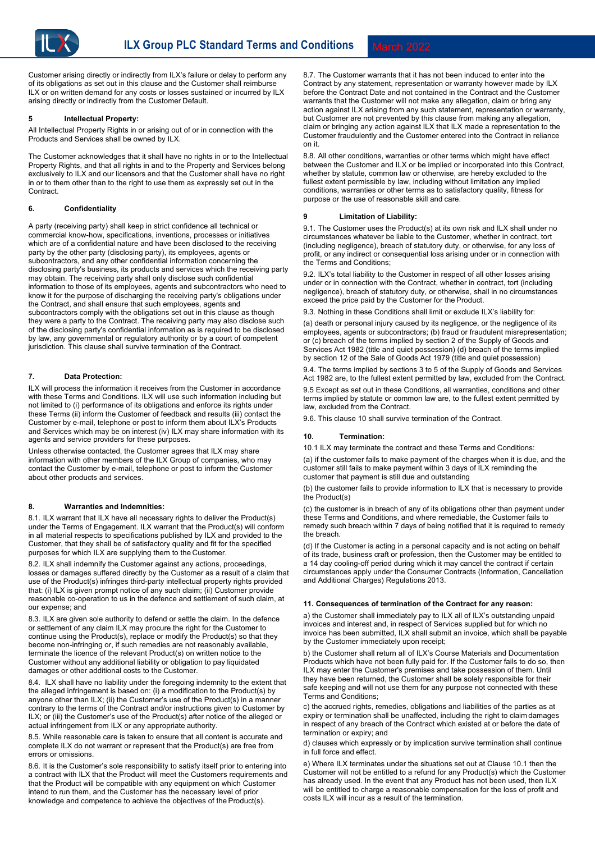Customer arising directly or indirectly from ILX's failure or delay to perform any of its obligations as set out in this clause and the Customer shall reimburse ILX or on written demand for any costs or losses sustained or incurred by ILX arising directly or indirectly from the Customer Default.

# **5 Intellectual Property:**

All Intellectual Property Rights in or arising out of or in connection with the Products and Services shall be owned by ILX.

The Customer acknowledges that it shall have no rights in or to the Intellectual Property Rights, and that all rights in and to the Property and Services belong exclusively to ILX and our licensors and that the Customer shall have no right in or to them other than to the right to use them as expressly set out in the Contract.

### **6. Confidentiality**

A party (receiving party) shall keep in strict confidence all technical or commercial know-how, specifications, inventions, processes or initiatives which are of a confidential nature and have been disclosed to the receiving party by the other party (disclosing party), its employees, agents or subcontractors, and any other confidential information concerning the disclosing party's business, its products and services which the receiving party may obtain. The receiving party shall only disclose such confidential information to those of its employees, agents and subcontractors who need to know it for the purpose of discharging the receiving party's obligations under the Contract, and shall ensure that such employees, agents and subcontractors comply with the obligations set out in this clause as though they were a party to the Contract. The receiving party may also disclose such of the disclosing party's confidential information as is required to be disclosed by law, any governmental or regulatory authority or by a court of competent jurisdiction. This clause shall survive termination of the Contract.

# **7. Data Protection:**

ILX will process the information it receives from the Customer in accordance with these Terms and Conditions. ILX will use such information including but not limited to (i) performance of its obligations and enforce its rights under these Terms (ii) inform the Customer of feedback and results (iii) contact the Customer by e-mail, telephone or post to inform them about ILX's Products and Services which may be on interest (iv) ILX may share information with its agents and service providers for these purposes.

Unless otherwise contacted, the Customer agrees that ILX may share information with other members of the ILX Group of companies, who may contact the Customer by e-mail, telephone or post to inform the Customer about other products and services.

#### **8. Warranties and Indemnities:**

8.1. ILX warrant that ILX have all necessary rights to deliver the Product(s) under the Terms of Engagement. ILX warrant that the Product(s) will conform in all material respects to specifications published by ILX and provided to the Customer, that they shall be of satisfactory quality and fit for the specified purposes for which ILX are supplying them to the Customer.

8.2. ILX shall indemnify the Customer against any actions, proceedings, losses or damages suffered directly by the Customer as a result of a claim that use of the Product(s) infringes third-party intellectual property rights provided that: (i) ILX is given prompt notice of any such claim; (ii) Customer provide reasonable co-operation to us in the defence and settlement of such claim, at our expense; and

8.3. ILX are given sole authority to defend or settle the claim. In the defence or settlement of any claim ILX may procure the right for the Customer to continue using the Product(s), replace or modify the Product(s) so that they become non-infringing or, if such remedies are not reasonably available, terminate the licence of the relevant Product(s) on written notice to the Customer without any additional liability or obligation to pay liquidated damages or other additional costs to the Customer.

8.4. ILX shall have no liability under the foregoing indemnity to the extent that the alleged infringement is based on: (i) a modification to the Product(s) by anyone other than ILX; (ii) the Customer's use of the Product(s) in a manner contrary to the terms of the Contract and/or instructions given to Customer by ILX; or (iii) the Customer's use of the Product(s) after notice of the alleged or actual infringement from ILX or any appropriate authority.

8.5. While reasonable care is taken to ensure that all content is accurate and complete ILX do not warrant or represent that the Product(s) are free from errors or omissions.

8.6. It is the Customer's sole responsibility to satisfy itself prior to entering into a contract with ILX that the Product will meet the Customers requirements and that the Product will be compatible with any equipment on which Customer intend to run them, and the Customer has the necessary level of prior knowledge and competence to achieve the objectives of the Product(s).

8.7. The Customer warrants that it has not been induced to enter into the Contract by any statement, representation or warranty however made by ILX before the Contract Date and not contained in the Contract and the Customer warrants that the Customer will not make any allegation, claim or bring any action against ILX arising from any such statement, representation or warranty, but Customer are not prevented by this clause from making any allegation. claim or bringing any action against ILX that ILX made a representation to the Customer fraudulently and the Customer entered into the Contract in reliance on it.

8.8. All other conditions, warranties or other terms which might have effect between the Customer and ILX or be implied or incorporated into this Contract, whether by statute, common law or otherwise, are hereby excluded to the fullest extent permissible by law, including without limitation any implied conditions, warranties or other terms as to satisfactory quality, fitness for purpose or the use of reasonable skill and care.

### **9 Limitation of Liability:**

9.1. The Customer uses the Product(s) at its own risk and ILX shall under no circumstances whatever be liable to the Customer, whether in contract, tort (including negligence), breach of statutory duty, or otherwise, for any loss of profit, or any indirect or consequential loss arising under or in connection with the Terms and Conditions;

9.2. ILX's total liability to the Customer in respect of all other losses arising under or in connection with the Contract, whether in contract, tort (including negligence), breach of statutory duty, or otherwise, shall in no circumstances exceed the price paid by the Customer for the Product.

9.3. Nothing in these Conditions shall limit or exclude ILX's liability for:

(a) death or personal injury caused by its negligence, or the negligence of its employees, agents or subcontractors; (b) fraud or fraudulent misrepresentation; or (c) breach of the terms implied by section 2 of the Supply of Goods and Services Act 1982 (title and quiet possession) (d) breach of the terms implied by section 12 of the Sale of Goods Act 1979 (title and quiet possession)

9.4. The terms implied by sections 3 to 5 of the Supply of Goods and Services Act 1982 are, to the fullest extent permitted by law, excluded from the Contract.

9.5 Except as set out in these Conditions, all warranties, conditions and other terms implied by statute or common law are, to the fullest extent permitted by law, excluded from the Contract.

9.6. This clause 10 shall survive termination of the Contract.

#### **10. Termination:**

10.1 ILX may terminate the contract and these Terms and Conditions:

(a) if the customer fails to make payment of the charges when it is due, and the customer still fails to make payment within 3 days of ILX reminding the customer that payment is still due and outstanding

(b) the customer fails to provide information to ILX that is necessary to provide the Product(s)

(c) the customer is in breach of any of its obligations other than payment under these Terms and Conditions, and where remediable, the Customer fails to remedy such breach within 7 days of being notified that it is required to remedy the breach.

(d) If the Customer is acting in a personal capacity and is not acting on behalf of its trade, business craft or profession, then the Customer may be entitled to a 14 day cooling-off period during which it may cancel the contract if certain circumstances apply under the Consumer Contracts (Information, Cancellation and Additional Charges) Regulations 2013.

#### **11. Consequences of termination of the Contract for any reason:**

a) the Customer shall immediately pay to ILX all of ILX's outstanding unpaid invoices and interest and, in respect of Services supplied but for which no invoice has been submitted, ILX shall submit an invoice, which shall be payable by the Customer immediately upon receipt;

b) the Customer shall return all of ILX's Course Materials and Documentation Products which have not been fully paid for. If the Customer fails to do so, then ILX may enter the Customer's premises and take possession of them. Until they have been returned, the Customer shall be solely responsible for their safe keeping and will not use them for any purpose not connected with these Terms and Conditions;

c) the accrued rights, remedies, obligations and liabilities of the parties as at expiry or termination shall be unaffected, including the right to claim damages in respect of any breach of the Contract which existed at or before the date of termination or expiry; and

d) clauses which expressly or by implication survive termination shall continue in full force and effect.

e) Where ILX terminates under the situations set out at Clause 10.1 then the Customer will not be entitled to a refund for any Product(s) which the Customer has already used. In the event that any Product has not been used, then ILX will be entitled to charge a reasonable compensation for the loss of profit and costs ILX will incur as a result of the termination.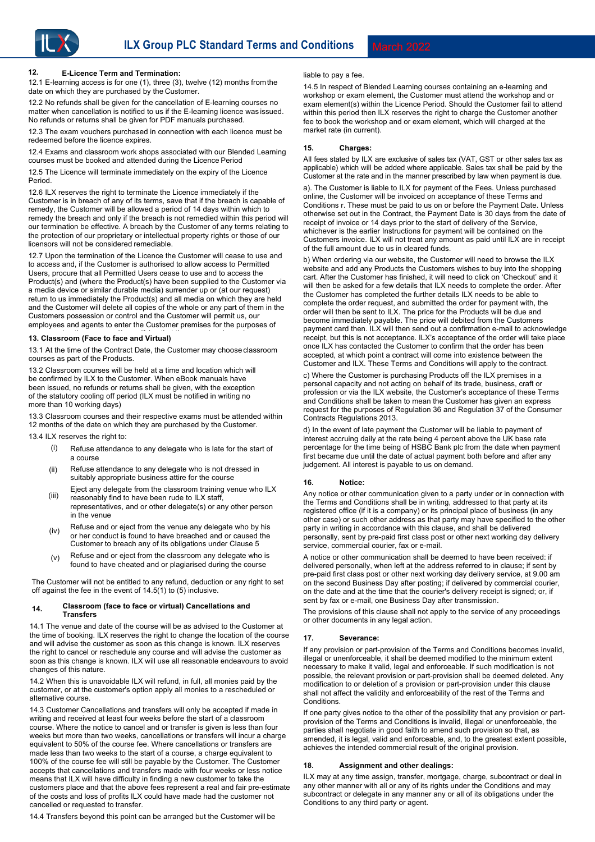# **12. E-Licence Term and Termination:** liable to pay a fee.

12.1 E-learning access is for one (1), three (3), twelve (12) months from the date on which they are purchased by the Customer.

12.2 No refunds shall be given for the cancellation of E-learning courses no matter when cancellation is notified to us if the E-learning licence was issued. No refunds or returns shall be given for PDF manuals purchased.

12.3 The exam vouchers purchased in connection with each licence must be redeemed before the licence expires.

12.4 Exams and classroom work shops associated with our Blended Learning courses must be booked and attended during the Licence Period

12.5 The Licence will terminate immediately on the expiry of the Licence Period.

12.6 ILX reserves the right to terminate the Licence immediately if the Customer is in breach of any of its terms, save that if the breach is capable of remedy, the Customer will be allowed a period of 14 days within which to remedy the breach and only if the breach is not remedied within this period will our termination be effective. A breach by the Customer of any terms relating to the protection of our proprietary or intellectual property rights or those of our licensors will not be considered remediable.

12.7 Upon the termination of the Licence the Customer will cease to use and to access and, if the Customer is authorised to allow access to Permitted Users, procure that all Permitted Users cease to use and to access the Product(s) and (where the Product(s) have been supplied to the Customer via a media device or similar durable media) surrender up or (at our request) return to us immediately the Product(s) and all media on which they are held and the Customer will delete all copies of the whole or any part of them in the Customers possession or control and the Customer will permit us, our employees and agents to enter the Customer premises for the purposes of

# repossessing the same and/or verifying that the same has been done. **13. Classroom (Face to face and Virtual)**

13.1 At the time of the Contract Date, the Customer may choose classroom courses as part of the Products.

13.2 Classroom courses will be held at a time and location which will be confirmed by ILX to the Customer. When eBook manuals have been issued, no refunds or returns shall be given, with the exception of the statutory cooling off period (ILX must be notified in writing no more than 10 working days)

13.3 Classroom courses and their respective exams must be attended within 12 months of the date on which they are purchased by the Customer.

13.4 ILX reserves the right to:

- (i) Refuse attendance to any delegate who is late for the start of a course
- Refuse attendance to any delegate who is not dressed in suitably appropriate business attire for the course (ii)
- Eiect any delegate from the classroom training venue who ILX reasonably find to have been rude to ILX staff, (iii)
- representatives, and or other delegate(s) or any other person in the venue
- Refuse and or eject from the venue any delegate who by his or her conduct is found to have breached and or caused the Customer to breach any of its obligations under Clause 5 (iv)
- Refuse and or eject from the classroom any delegate who is found to have cheated and or plagiarised during the course (v)

The Customer will not be entitled to any refund, deduction or any right to set off against the fee in the event of 14.5(1) to (5) inclusive.

#### **14. Classroom (face to face or virtual) Cancellations and Transfers**

14.1 The venue and date of the course will be as advised to the Customer at the time of booking. ILX reserves the right to change the location of the course and will advise the customer as soon as this change is known. ILX reserves the right to cancel or reschedule any course and will advise the customer as soon as this change is known. ILX will use all reasonable endeavours to avoid changes of this nature.

14.2 When this is unavoidable ILX will refund, in full, all monies paid by the customer, or at the customer's option apply all monies to a rescheduled or alternative course.

14.3 Customer Cancellations and transfers will only be accepted if made in writing and received at least four weeks before the start of a classroom course. Where the notice to cancel and or transfer is given is less than four weeks but more than two weeks, cancellations or transfers will incur a charge equivalent to 50% of the course fee. Where cancellations or transfers are made less than two weeks to the start of a course, a charge equivalent to 100% of the course fee will still be payable by the Customer. The Customer accepts that cancellations and transfers made with four weeks or less notice means that ILX will have difficulty in finding a new customer to take the customers place and that the above fees represent a real and fair pre-estimate of the costs and loss of profits ILX could have made had the customer not cancelled or requested to transfer.

14.4 Transfers beyond this point can be arranged but the Customer will be

14.5 In respect of Blended Learning courses containing an e-learning and workshop or exam element, the Customer must attend the workshop and or exam element(s) within the Licence Period. Should the Customer fail to attend within this period then ILX reserves the right to charge the Customer another fee to book the workshop and or exam element, which will charged at the market rate (in current).

# **15. Charges:**

All fees stated by ILX are exclusive of sales tax (VAT, GST or other sales tax as applicable) which will be added where applicable. Sales tax shall be paid by the Customer at the rate and in the manner prescribed by law when payment is due.

a). The Customer is liable to ILX for payment of the Fees. Unless purchased online, the Customer will be invoiced on acceptance of these Terms and Conditions r. These must be paid to us on or before the Payment Date. Unless otherwise set out in the Contract, the Payment Date is 30 days from the date of receipt of invoice or 14 days prior to the start of delivery of the Service, whichever is the earlier Instructions for payment will be contained on the Customers invoice. ILX will not treat any amount as paid until ILX are in receipt of the full amount due to us in cleared funds.

b) When ordering via our website, the Customer will need to browse the ILX website and add any Products the Customers wishes to buy into the shopping cart. After the Customer has finished, it will need to click on 'Checkout' and it will then be asked for a few details that ILX needs to complete the order. After the Customer has completed the further details ILX needs to be able to complete the order request, and submitted the order for payment with, the order will then be sent to ILX. The price for the Products will be due and become immediately payable. The price will debited from the Customers payment card then. ILX will then send out a confirmation e-mail to acknowledge receipt, but this is not acceptance. ILX's acceptance of the order will take place once ILX has contacted the Customer to confirm that the order has been accepted, at which point a contract will come into existence between the Customer and ILX. These Terms and Conditions will apply to the contract.

c) Where the Customer is purchasing Products off the ILX premises in a personal capacity and not acting on behalf of its trade, business, craft or profession or via the ILX website, the Customer's acceptance of these Terms and Conditions shall be taken to mean the Customer has given an express request for the purposes of Regulation 36 and Regulation 37 of the Consumer Contracts Regulations 2013.

d) In the event of late payment the Customer will be liable to payment of interest accruing daily at the rate being 4 percent above the UK base rate percentage for the time being of HSBC Bank plc from the date when payment first became due until the date of actual payment both before and after any judgement. All interest is payable to us on demand.

# **16. Notice:**

Any notice or other communication given to a party under or in connection with the Terms and Conditions shall be in writing, addressed to that party at its registered office (if it is a company) or its principal place of business (in any other case) or such other address as that party may have specified to the other party in writing in accordance with this clause, and shall be delivered personally, sent by pre-paid first class post or other next working day delivery service, commercial courier, fax or e-mail.

A notice or other communication shall be deemed to have been received: if delivered personally, when left at the address referred to in clause; if sent by pre-paid first class post or other next working day delivery service, at 9.00 am on the second Business Day after posting; if delivered by commercial courier, on the date and at the time that the courier's delivery receipt is signed; or, if sent by fax or e-mail, one Business Day after transmission.

The provisions of this clause shall not apply to the service of any proceedings or other documents in any legal action.

# **17. Severance:**

If any provision or part-provision of the Terms and Conditions becomes invalid, illegal or unenforceable, it shall be deemed modified to the minimum extent necessary to make it valid, legal and enforceable. If such modification is not possible, the relevant provision or part-provision shall be deemed deleted. Any modification to or deletion of a provision or part-provision under this clause shall not affect the validity and enforceability of the rest of the Terms and **Conditions** 

If one party gives notice to the other of the possibility that any provision or partprovision of the Terms and Conditions is invalid, illegal or unenforceable, the parties shall negotiate in good faith to amend such provision so that, as amended, it is legal, valid and enforceable, and, to the greatest extent possible, achieves the intended commercial result of the original provision.

#### **18. Assignment and other dealings:**

ILX may at any time assign, transfer, mortgage, charge, subcontract or deal in any other manner with all or any of its rights under the Conditions and may subcontract or delegate in any manner any or all of its obligations under the Conditions to any third party or agent.